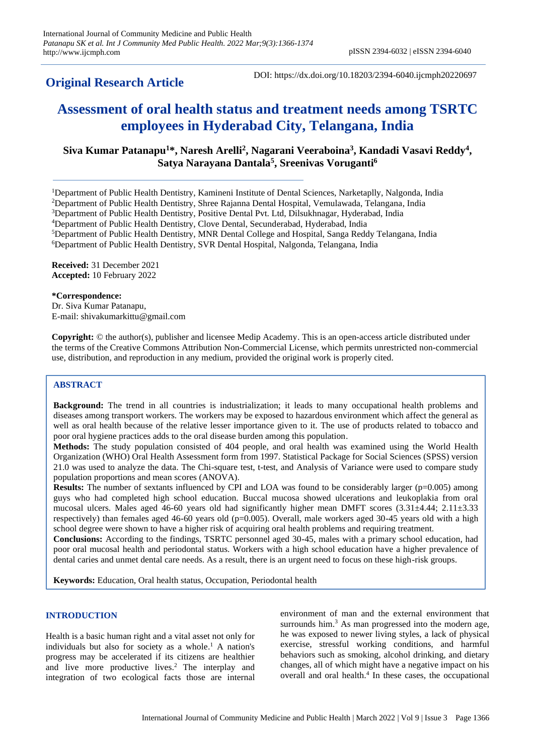# **Original Research Article**

# **Assessment of oral health status and treatment needs among TSRTC employees in Hyderabad City, Telangana, India**

# **Siva Kumar Patanapu<sup>1</sup>\*, Naresh Arelli<sup>2</sup> , Nagarani Veeraboina<sup>3</sup> , Kandadi Vasavi Reddy<sup>4</sup> , Satya Narayana Dantala<sup>5</sup> , Sreenivas Voruganti<sup>6</sup>**

<sup>1</sup>Department of Public Health Dentistry, Kamineni Institute of Dental Sciences, Narketaplly, Nalgonda, India

<sup>2</sup>Department of Public Health Dentistry, Shree Rajanna Dental Hospital, Vemulawada, Telangana, India

<sup>3</sup>Department of Public Health Dentistry, Positive Dental Pvt. Ltd, Dilsukhnagar, Hyderabad, India

<sup>4</sup>Department of Public Health Dentistry, Clove Dental, Secunderabad, Hyderabad, India

<sup>5</sup>Department of Public Health Dentistry, MNR Dental College and Hospital, Sanga Reddy Telangana, India

<sup>6</sup>Department of Public Health Dentistry, SVR Dental Hospital, Nalgonda, Telangana, India

**Received:** 31 December 2021 **Accepted:** 10 February 2022

#### **\*Correspondence:**

Dr. Siva Kumar Patanapu, E-mail: shivakumarkittu@gmail.com

**Copyright:** © the author(s), publisher and licensee Medip Academy. This is an open-access article distributed under the terms of the Creative Commons Attribution Non-Commercial License, which permits unrestricted non-commercial use, distribution, and reproduction in any medium, provided the original work is properly cited.

## **ABSTRACT**

**Background:** The trend in all countries is industrialization; it leads to many occupational health problems and diseases among transport workers. The workers may be exposed to hazardous environment which affect the general as well as oral health because of the relative lesser importance given to it. The use of products related to tobacco and poor oral hygiene practices adds to the oral disease burden among this population.

**Methods:** The study population consisted of 404 people, and oral health was examined using the World Health Organization (WHO) Oral Health Assessment form from 1997. Statistical Package for Social Sciences (SPSS) version 21.0 was used to analyze the data. The Chi-square test, t-test, and Analysis of Variance were used to compare study population proportions and mean scores (ANOVA).

**Results:** The number of sextants influenced by CPI and LOA was found to be considerably larger (p=0.005) among guys who had completed high school education. Buccal mucosa showed ulcerations and leukoplakia from oral mucosal ulcers. Males aged 46-60 years old had significantly higher mean DMFT scores  $(3.31\pm4.44; 2.11\pm3.33)$ respectively) than females aged 46-60 years old (p=0.005). Overall, male workers aged 30-45 years old with a high school degree were shown to have a higher risk of acquiring oral health problems and requiring treatment.

**Conclusions:** According to the findings, TSRTC personnel aged 30-45, males with a primary school education, had poor oral mucosal health and periodontal status. Workers with a high school education have a higher prevalence of dental caries and unmet dental care needs. As a result, there is an urgent need to focus on these high-risk groups.

**Keywords:** Education, Oral health status, Occupation, Periodontal health

#### **INTRODUCTION**

Health is a basic human right and a vital asset not only for individuals but also for society as a whole. <sup>1</sup> A nation's progress may be accelerated if its citizens are healthier and live more productive lives. <sup>2</sup> The interplay and integration of two ecological facts those are internal

environment of man and the external environment that surrounds him.<sup>3</sup> As man progressed into the modern age, he was exposed to newer living styles, a lack of physical exercise, stressful working conditions, and harmful behaviors such as smoking, alcohol drinking, and dietary changes, all of which might have a negative impact on his overall and oral health. 4 In these cases, the occupational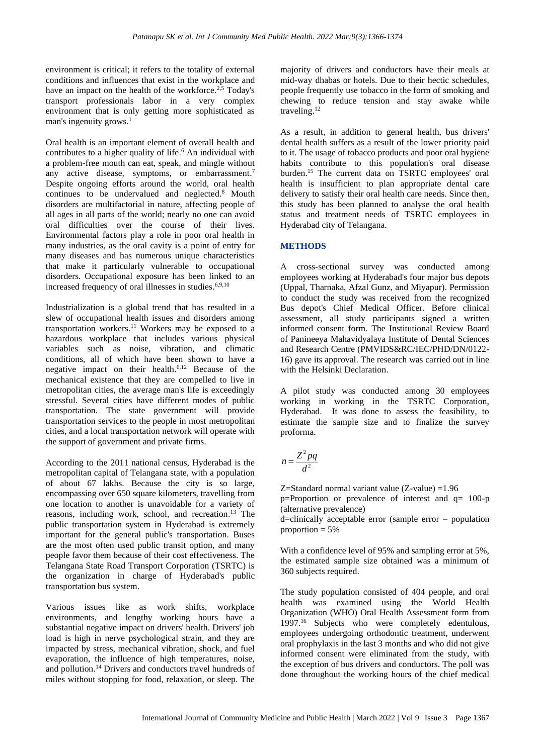environment is critical; it refers to the totality of external conditions and influences that exist in the workplace and have an impact on the health of the workforce.<sup>2,5</sup> Today's transport professionals labor in a very complex environment that is only getting more sophisticated as man's ingenuity grows. 1

Oral health is an important element of overall health and contributes to a higher quality of life. <sup>6</sup> An individual with a problem-free mouth can eat, speak, and mingle without any active disease, symptoms, or embarrassment.<sup>7</sup> Despite ongoing efforts around the world, oral health continues to be undervalued and neglected.<sup>8</sup> Mouth disorders are multifactorial in nature, affecting people of all ages in all parts of the world; nearly no one can avoid oral difficulties over the course of their lives. Environmental factors play a role in poor oral health in many industries, as the oral cavity is a point of entry for many diseases and has numerous unique characteristics that make it particularly vulnerable to occupational disorders. Occupational exposure has been linked to an increased frequency of oral illnesses in studies.<sup>6,9,10</sup>

Industrialization is a global trend that has resulted in a slew of occupational health issues and disorders among transportation workers. <sup>11</sup> Workers may be exposed to a hazardous workplace that includes various physical variables such as noise, vibration, and climatic conditions, all of which have been shown to have a negative impact on their health. 6,12 Because of the mechanical existence that they are compelled to live in metropolitan cities, the average man's life is exceedingly stressful. Several cities have different modes of public transportation. The state government will provide transportation services to the people in most metropolitan cities, and a local transportation network will operate with the support of government and private firms.

According to the 2011 national census, Hyderabad is the metropolitan capital of Telangana state, with a population of about 67 lakhs. Because the city is so large, encompassing over 650 square kilometers, travelling from one location to another is unavoidable for a variety of reasons, including work, school, and recreation. <sup>13</sup> The public transportation system in Hyderabad is extremely important for the general public's transportation. Buses are the most often used public transit option, and many people favor them because of their cost effectiveness. The Telangana State Road Transport Corporation (TSRTC) is the organization in charge of Hyderabad's public transportation bus system.

Various issues like as work shifts, workplace environments, and lengthy working hours have a substantial negative impact on drivers' health. Drivers' job load is high in nerve psychological strain, and they are impacted by stress, mechanical vibration, shock, and fuel evaporation, the influence of high temperatures, noise, and pollution. <sup>14</sup> Drivers and conductors travel hundreds of miles without stopping for food, relaxation, or sleep. The

majority of drivers and conductors have their meals at mid-way dhabas or hotels. Due to their hectic schedules, people frequently use tobacco in the form of smoking and chewing to reduce tension and stay awake while traveling.<sup>12</sup>

As a result, in addition to general health, bus drivers' dental health suffers as a result of the lower priority paid to it. The usage of tobacco products and poor oral hygiene habits contribute to this population's oral disease burden. <sup>15</sup> The current data on TSRTC employees' oral health is insufficient to plan appropriate dental care delivery to satisfy their oral health care needs. Since then, this study has been planned to analyse the oral health status and treatment needs of TSRTC employees in Hyderabad city of Telangana.

### **METHODS**

A cross-sectional survey was conducted among employees working at Hyderabad's four major bus depots (Uppal, Tharnaka, Afzal Gunz, and Miyapur). Permission to conduct the study was received from the recognized Bus depot's Chief Medical Officer. Before clinical assessment, all study participants signed a written informed consent form. The Institutional Review Board of Panineeya Mahavidyalaya Institute of Dental Sciences and Research Centre (PMVIDS&RC/IEC/PHD/DN/0122- 16) gave its approval. The research was carried out in line with the Helsinki Declaration.

A pilot study was conducted among 30 employees working in working in the TSRTC Corporation, Hyderabad. It was done to assess the feasibility, to estimate the sample size and to finalize the survey proforma.

$$
n = \frac{Z^2 pq}{d^2}
$$

Z=Standard normal variant value (Z-value) =1.96 p=Proportion or prevalence of interest and q= 100-p (alternative prevalence)

d=clinically acceptable error (sample error – population proportion  $= 5\%$ 

With a confidence level of 95% and sampling error at 5%. the estimated sample size obtained was a minimum of 360 subjects required.

The study population consisted of 404 people, and oral health was examined using the World Health Organization (WHO) Oral Health Assessment form from 1997. <sup>16</sup> Subjects who were completely edentulous, employees undergoing orthodontic treatment, underwent oral prophylaxis in the last 3 months and who did not give informed consent were eliminated from the study, with the exception of bus drivers and conductors. The poll was done throughout the working hours of the chief medical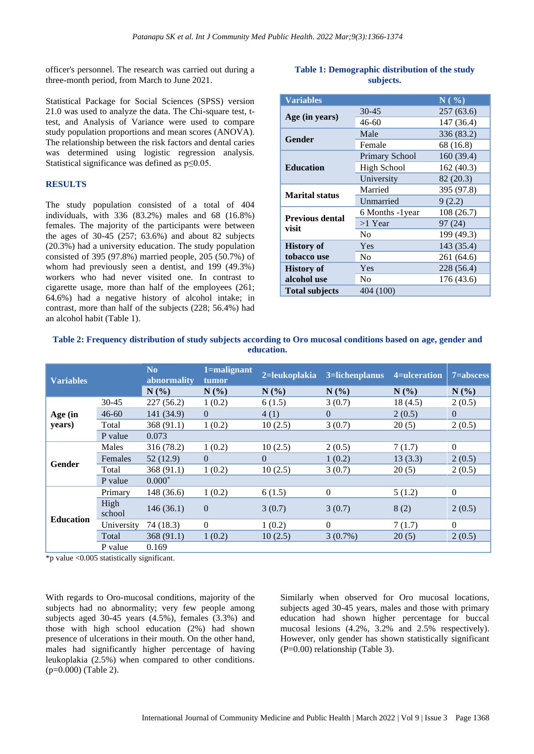officer's personnel. The research was carried out during a three-month period, from March to June 2021.

Statistical Package for Social Sciences (SPSS) version 21.0 was used to analyze the data. The Chi-square test, ttest, and Analysis of Variance were used to compare study population proportions and mean scores (ANOVA). The relationship between the risk factors and dental caries was determined using logistic regression analysis. Statistical significance was defined as p≤0.05.

#### **RESULTS**

The study population consisted of a total of 404 individuals, with 336 (83.2%) males and 68 (16.8%) females. The majority of the participants were between the ages of  $30-45$   $(257; 63.6%)$  and about 82 subjects (20.3%) had a university education. The study population consisted of 395 (97.8%) married people, 205 (50.7%) of whom had previously seen a dentist, and 199 (49.3%) workers who had never visited one. In contrast to cigarette usage, more than half of the employees (261; 64.6%) had a negative history of alcohol intake; in contrast, more than half of the subjects (228; 56.4%) had an alcohol habit (Table 1).

#### **Table 1: Demographic distribution of the study subjects.**

| <b>Variables</b>       |                       | $N($ %)    |  |
|------------------------|-----------------------|------------|--|
|                        | $30 - 45$             | 257(63.6)  |  |
| Age (in years)         | $46 - 60$             | 147 (36.4) |  |
| Gender                 | Male                  | 336 (83.2) |  |
|                        | Female                | 68 (16.8)  |  |
|                        | <b>Primary School</b> | 160 (39.4) |  |
| <b>Education</b>       | High School           | 162 (40.3) |  |
|                        | University            | 82 (20.3)  |  |
| <b>Marital status</b>  | Married               | 395 (97.8) |  |
|                        | Unmarried             | 9(2.2)     |  |
| <b>Previous dental</b> | 6 Months -1year       | 108(26.7)  |  |
| visit                  | $>1$ Year             | 97 (24)    |  |
|                        | N <sub>0</sub>        | 199 (49.3) |  |
| <b>History of</b>      | Yes                   | 143 (35.4) |  |
| tobacco use            | N <sub>0</sub>        | 261 (64.6) |  |
| <b>History of</b>      | Yes                   | 228 (56.4) |  |
| alcohol use            | N <sub>0</sub>        | 176 (43.6) |  |
| <b>Total subjects</b>  | 404 (100)             |            |  |

#### **Table 2: Frequency distribution of study subjects according to Oro mucosal conditions based on age, gender and education.**

| <b>Variables</b> |                | N <sub>0</sub><br>abnormality | 1=malignant<br>tumor | 2=leukoplakia | 3=lichenplanus | 4=ulceration | 7=abscess      |
|------------------|----------------|-------------------------------|----------------------|---------------|----------------|--------------|----------------|
|                  |                | N(%)                          | N(%)                 | N(%)          | N(%)           | N(%)         | N(%)           |
|                  | $30 - 45$      | 227(56.2)                     | 1(0.2)               | 6(1.5)        | 3(0.7)         | 18(4.5)      | 2(0.5)         |
| Age (in          | $46 - 60$      | 141 (34.9)                    | $\Omega$             | 4(1)          | $\Omega$       | 2(0.5)       | $\Omega$       |
| years)           | Total          | 368 (91.1)                    | 1(0.2)               | 10(2.5)       | 3(0.7)         | 20(5)        | 2(0.5)         |
|                  | P value        | 0.073                         |                      |               |                |              |                |
|                  | Males          | 316 (78.2)                    | 1(0.2)               | 10(2.5)       | 2(0.5)         | 7(1.7)       | $\Omega$       |
| <b>Gender</b>    | Females        | 52(12.9)                      | $\theta$             | $\Omega$      | 1(0.2)         | 13(3.3)      | 2(0.5)         |
|                  | Total          | 368(91.1)                     | 1(0.2)               | 10(2.5)       | 3(0.7)         | 20(5)        | 2(0.5)         |
|                  | P value        | $0.000*$                      |                      |               |                |              |                |
|                  | Primary        | 148 (36.6)                    | 1(0.2)               | 6(1.5)        | $\mathbf{0}$   | 5(1.2)       | $\overline{0}$ |
| <b>Education</b> | High<br>school | 146(36.1)                     | $\overline{0}$       | 3(0.7)        | 3(0.7)         | 8(2)         | 2(0.5)         |
|                  | University     | 74 (18.3)                     | $\theta$             | 1(0.2)        | $\Omega$       | 7(1.7)       | $\Omega$       |
|                  | Total          | 368(91.1)                     | 1(0.2)               | 10(2.5)       | $3(0.7\%)$     | 20(5)        | 2(0.5)         |
|                  | P value        | 0.169                         |                      |               |                |              |                |

\*p value <0.005 statistically significant.

With regards to Oro-mucosal conditions, majority of the subjects had no abnormality; very few people among subjects aged 30-45 years (4.5%), females (3.3%) and those with high school education (2%) had shown presence of ulcerations in their mouth. On the other hand, males had significantly higher percentage of having leukoplakia (2.5%) when compared to other conditions. (p=0.000) (Table 2).

Similarly when observed for Oro mucosal locations, subjects aged 30-45 years, males and those with primary education had shown higher percentage for buccal mucosal lesions (4.2%, 3.2% and 2.5% respectively). However, only gender has shown statistically significant (P=0.00) relationship (Table 3).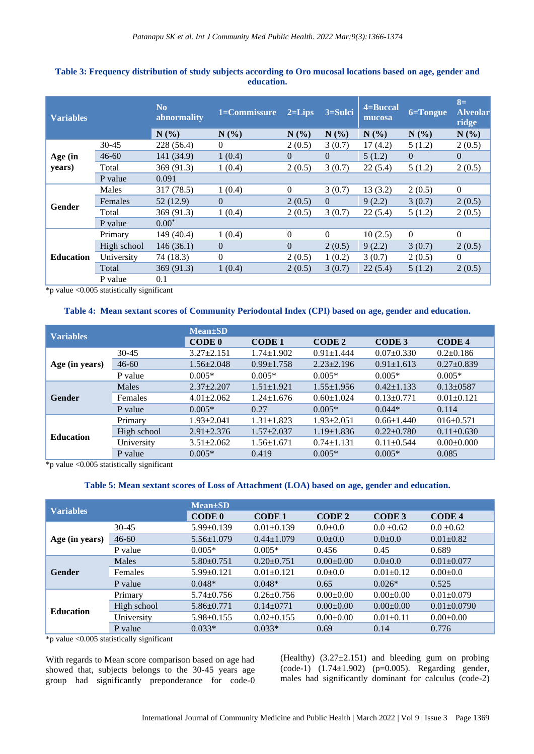| <b>Variables</b>           |             | N <sub>0</sub><br>abnormality | 1=Commissure | $2 = \overline{\text{Lips}}$ | 3=Sulci  | 4=Buccal<br>mucosa | 6=Tongue | $8=$<br><b>Alveolar</b><br>ridge |
|----------------------------|-------------|-------------------------------|--------------|------------------------------|----------|--------------------|----------|----------------------------------|
|                            |             | N(%                           | N(%          | N(%)                         | N(%      | $N(\%)$            | N(%      | N(%)                             |
|                            | $30 - 45$   | 228(56.4)                     | $\Omega$     | 2(0.5)                       | 3(0.7)   | 17(4.2)            | 5(1.2)   | 2(0.5)                           |
| Age (in<br>years)          | $46 - 60$   | 141 (34.9)                    | 1(0.4)       | $\Omega$                     | $\Omega$ | 5(1.2)             | $\Omega$ | $\Omega$                         |
|                            | Total       | 369 (91.3)                    | 1(0.4)       | 2(0.5)                       | 3(0.7)   | 22(5.4)            | 5(1.2)   | 2(0.5)                           |
|                            | P value     | 0.091                         |              |                              |          |                    |          |                                  |
| Gender<br><b>Education</b> | Males       | 317 (78.5)                    | 1(0.4)       | $\Omega$                     | 3(0.7)   | 13(3.2)            | 2(0.5)   | $\Omega$                         |
|                            | Females     | 52(12.9)                      | $\Omega$     | 2(0.5)                       | $\Omega$ | 9(2.2)             | 3(0.7)   | 2(0.5)                           |
|                            | Total       | 369 (91.3)                    | 1(0.4)       | 2(0.5)                       | 3(0.7)   | 22(5.4)            | 5(1.2)   | 2(0.5)                           |
|                            | P value     | $0.00*$                       |              |                              |          |                    |          |                                  |
|                            | Primary     | 149 (40.4)                    | 1(0.4)       | $\Omega$                     | $\Omega$ | 10(2.5)            | $\theta$ | $\theta$                         |
|                            | High school | 146(36.1)                     | $\mathbf{0}$ | $\Omega$                     | 2(0.5)   | 9(2.2)             | 3(0.7)   | 2(0.5)                           |
|                            | University  | 74(18.3)                      | $\Omega$     | 2(0.5)                       | 1(0.2)   | 3(0.7)             | 2(0.5)   | $\theta$                         |
|                            | Total       | 369(91.3)                     | 1(0.4)       | 2(0.5)                       | 3(0.7)   | 22(5.4)            | 5(1.2)   | 2(0.5)                           |
|                            | P value     | 0.1                           |              |                              |          |                    |          |                                  |

#### **Table 3: Frequency distribution of study subjects according to Oro mucosal locations based on age, gender and education.**

\*p value <0.005 statistically significant

#### **Table 4: Mean sextant scores of Community Periodontal Index (CPI) based on age, gender and education.**

| <b>Variables</b> |             | <b>Mean</b> ±SD  |                  |                  |                  |                  |  |  |  |  |  |  |
|------------------|-------------|------------------|------------------|------------------|------------------|------------------|--|--|--|--|--|--|
|                  |             | <b>CODE 0</b>    | <b>CODE1</b>     | <b>CODE 2</b>    | CODE 3           | <b>CODE4</b>     |  |  |  |  |  |  |
|                  | $30 - 45$   | $3.27 \pm 2.151$ | $1.74 \pm 1.902$ | $0.91 \pm 1.444$ | $0.07 \pm 0.330$ | $0.2 \pm 0.186$  |  |  |  |  |  |  |
| Age (in years)   | $46 - 60$   | $1.56 \pm 2.048$ | $0.99 \pm 1.758$ | $2.23 \pm 2.196$ | $0.91 \pm 1.613$ | $0.27 \pm 0.839$ |  |  |  |  |  |  |
|                  | P value     | $0.005*$         | $0.005*$         | $0.005*$         | $0.005*$         | $0.005*$         |  |  |  |  |  |  |
|                  | Males       | $2.37 \pm 2.207$ | $1.51 \pm 1.921$ | $1.55 \pm 1.956$ | $0.42 \pm 1.133$ | $0.13 \pm 0.587$ |  |  |  |  |  |  |
| <b>Gender</b>    | Females     | $4.01 \pm 2.062$ | $1.24 \pm 1.676$ | $0.60 \pm 1.024$ | $0.13 \pm 0.771$ | $0.01 \pm 0.121$ |  |  |  |  |  |  |
|                  | P value     | $0.005*$         | 0.27             | $0.005*$         | $0.044*$         | 0.114            |  |  |  |  |  |  |
|                  | Primary     | $1.93 \pm 2.041$ | $1.31 \pm 1.823$ | $1.93 \pm 2.051$ | $0.66 \pm 1.440$ | $016 \pm 0.571$  |  |  |  |  |  |  |
| <b>Education</b> | High school | $2.91 \pm 2.376$ | $1.57 \pm 2.037$ | $1.19 \pm 1.836$ | $0.22 \pm 0.780$ | $0.11 \pm 0.630$ |  |  |  |  |  |  |
|                  | University  | $3.51 \pm 2.062$ | $1.56 \pm 1.671$ | $0.74 \pm 1.131$ | $0.11 \pm 0.544$ | $0.00 \pm 0.000$ |  |  |  |  |  |  |
|                  | P value     | $0.005*$         | 0.419            | $0.005*$         | $0.005*$         | 0.085            |  |  |  |  |  |  |

\*p value <0.005 statistically significant

#### **Table 5: Mean sextant scores of Loss of Attachment (LOA) based on age, gender and education.**

| <b>Variables</b> |              | <b>Mean</b> ±SD  |                  |                 |                 |                   |  |  |  |  |  |
|------------------|--------------|------------------|------------------|-----------------|-----------------|-------------------|--|--|--|--|--|
|                  |              | CODE 0           | <b>CODE1</b>     | <b>CODE 2</b>   | CODE 3          | <b>CODE4</b>      |  |  |  |  |  |
|                  | $30 - 45$    | $5.99 \pm 0.139$ | $0.01 \pm 0.139$ | $0.0 + 0.0$     | $0.0 \pm 0.62$  | $0.0 \pm 0.62$    |  |  |  |  |  |
| Age (in years)   | $46 - 60$    | $5.56 \pm 1.079$ | $0.44 \pm 1.079$ | $0.0 + 0.0$     | $0.0 + 0.0$     | $0.01 \pm 0.82$   |  |  |  |  |  |
|                  | P value      | $0.005*$         | $0.005*$         | 0.456           | 0.45            | 0.689             |  |  |  |  |  |
|                  | <b>Males</b> | $5.80 \pm 0.751$ | $0.20+0.751$     | $0.00 \pm 0.00$ | $0.0 + 0.0$     | $0.01 \pm 0.077$  |  |  |  |  |  |
| <b>Gender</b>    | Females      | $5.99 \pm 0.121$ | $0.01 \pm 0.121$ | $0.0 + 0.0$     | $0.01 \pm 0.12$ | $0.00 \pm 0.0$    |  |  |  |  |  |
|                  | P value      | $0.048*$         | $0.048*$         | 0.65            | $0.026*$        | 0.525             |  |  |  |  |  |
|                  | Primary      | $5.74 \pm 0.756$ | $0.26 \pm 0.756$ | $0.00 \pm 0.00$ | $0.00 \pm 0.00$ | $0.01 \pm 0.079$  |  |  |  |  |  |
| <b>Education</b> | High school  | $5.86 \pm 0.771$ | $0.14 \pm 0771$  | $0.00 \pm 0.00$ | $0.00 \pm 0.00$ | $0.01 \pm 0.0790$ |  |  |  |  |  |
|                  | University   | $5.98 \pm 0.155$ | $0.02 \pm 0.155$ | $0.00 \pm 0.00$ | $0.01 \pm 0.11$ | $0.00 \pm 0.00$   |  |  |  |  |  |
|                  | P value      | $0.033*$         | $0.033*$         | 0.69            | 0.14            | 0.776             |  |  |  |  |  |

\*p value <0.005 statistically significant

With regards to Mean score comparison based on age had showed that, subjects belongs to the 30-45 years age group had significantly preponderance for code-0 (Healthy)  $(3.27\pm2.151)$  and bleeding gum on probing (code-1) (1.74±1.902) (p=0.005). Regarding gender, males had significantly dominant for calculus (code-2)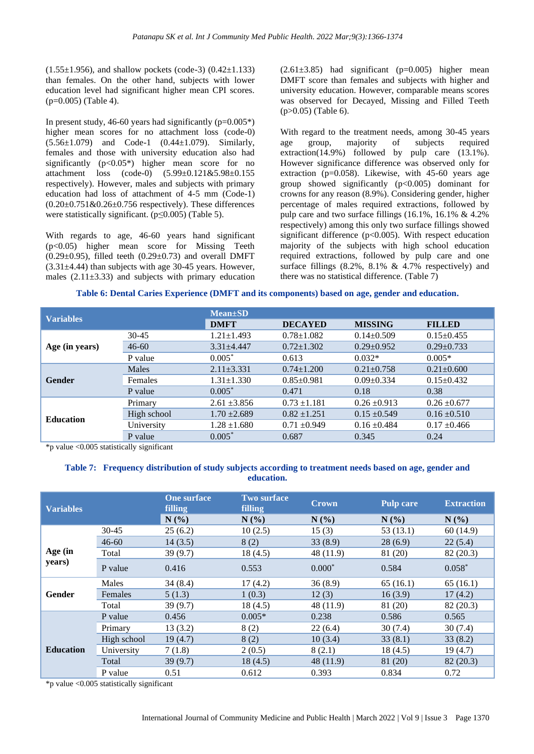$(1.55\pm1.956)$ , and shallow pockets (code-3)  $(0.42\pm1.133)$ than females. On the other hand, subjects with lower education level had significant higher mean CPI scores. (p=0.005) (Table 4).

In present study, 46-60 years had significantly  $(p=0.005^*)$ higher mean scores for no attachment loss (code-0) (5.56±1.079) and Code-1 (0.44±1.079). Similarly, females and those with university education also had significantly  $(p<0.05^*)$  higher mean score for no attachment loss (code-0) (5.99±0.121&5.98±0.155 respectively). However, males and subjects with primary education had loss of attachment of 4-5 mm (Code-1)  $(0.20\pm0.751\&0.26\pm0.756$  respectively). These differences were statistically significant.  $(p \le 0.005)$  (Table 5).

With regards to age, 46-60 years hand significant (p<0.05) higher mean score for Missing Teeth  $(0.29\pm0.95)$ , filled teeth  $(0.29\pm0.73)$  and overall DMFT  $(3.31\pm4.44)$  than subjects with age 30-45 years. However, males  $(2.11\pm3.33)$  and subjects with primary education

 $(2.61\pm3.85)$  had significant (p=0.005) higher mean DMFT score than females and subjects with higher and university education. However, comparable means scores was observed for Decayed, Missing and Filled Teeth (p>0.05) (Table 6).

With regard to the treatment needs, among 30-45 years age group, majority of subjects required extraction(14.9%) followed by pulp care (13.1%). However significance difference was observed only for extraction (p=0.058). Likewise, with 45-60 years age group showed significantly  $(p<0.005)$  dominant for crowns for any reason (8.9%). Considering gender, higher percentage of males required extractions, followed by pulp care and two surface fillings (16.1%, 16.1% & 4.2% respectively) among this only two surface fillings showed significant difference  $(p<0.005)$ . With respect education majority of the subjects with high school education required extractions, followed by pulp care and one surface fillings  $(8.2\% \, , \, 8.1\% \, \& \, 4.7\% \,$  respectively) and there was no statistical difference. (Table 7)

**Table 6: Dental Caries Experience (DMFT and its components) based on age, gender and education.**

| <b>Variables</b> |             | $Mean \pm SD$    |                                  |                  |                  |  |  |  |  |  |
|------------------|-------------|------------------|----------------------------------|------------------|------------------|--|--|--|--|--|
|                  |             | <b>DMFT</b>      | <b>DECAYED</b><br><b>MISSING</b> |                  | <b>FILLED</b>    |  |  |  |  |  |
| Age (in years)   | $30 - 45$   | $1.21 \pm 1.493$ | $0.78 \pm 1.082$                 | $0.14 \pm 0.509$ | $0.15 \pm 0.455$ |  |  |  |  |  |
|                  | $46 - 60$   | $3.31 \pm 4.447$ | $0.72 \pm 1.302$                 | $0.29 \pm 0.952$ | $0.29 \pm 0.733$ |  |  |  |  |  |
|                  | P value     | $0.005*$         | 0.613                            | $0.032*$         | $0.005*$         |  |  |  |  |  |
|                  | Males       | $2.11 \pm 3.331$ | $0.74 \pm 1.200$                 | $0.21 \pm 0.758$ | $0.21 \pm 0.600$ |  |  |  |  |  |
| <b>Gender</b>    | Females     | $1.31 \pm 1.330$ | $0.85 \pm 0.981$                 | $0.09 \pm 0.334$ | $0.15 \pm 0.432$ |  |  |  |  |  |
|                  | P value     | $0.005*$         | 0.471                            | 0.18             | 0.38             |  |  |  |  |  |
|                  | Primary     | $2.61 \pm 3.856$ | $0.73 \pm 1.181$                 | $0.26 \pm 0.913$ | $0.26 \pm 0.677$ |  |  |  |  |  |
| <b>Education</b> | High school | $1.70 \pm 2.689$ | $0.82 \pm 1.251$                 | $0.15 \pm 0.549$ | $0.16 \pm 0.510$ |  |  |  |  |  |
|                  | University  | $1.28 \pm 1.680$ | $0.71 \pm 0.949$                 | $0.16 \pm 0.484$ | $0.17 \pm 0.466$ |  |  |  |  |  |
|                  | P value     | $0.005*$         | 0.687                            | 0.345            | 0.24             |  |  |  |  |  |

\*p value <0.005 statistically significant

## **Table 7: Frequency distribution of study subjects according to treatment needs based on age, gender and education.**

| <b>Variables</b> |             | <b>One surface</b><br>filling | <b>Two surface</b><br>filling | <b>Crown</b> | <b>Pulp care</b> | <b>Extraction</b> |
|------------------|-------------|-------------------------------|-------------------------------|--------------|------------------|-------------------|
|                  |             | N(%)                          | N(%)                          | N(%)         | N(%)             | N(%)              |
|                  | 30-45       | 25(6.2)                       | 10(2.5)                       | 15(3)        | 53(13.1)         | 60 (14.9)         |
|                  | $46 - 60$   | 14(3.5)                       | 8(2)                          | 33(8.9)      | 28(6.9)          | 22(5.4)           |
| Age (in          | Total       | 39(9.7)                       | 18(4.5)                       | 48 (11.9)    | 81 (20)          | 82 (20.3)         |
| years)           | P value     | 0.416                         | 0.553                         | $0.000*$     | 0.584            | $0.058*$          |
|                  | Males       | 34(8.4)                       | 17(4.2)                       | 36(8.9)      | 65(16.1)         | 65(16.1)          |
| Gender           | Females     | 5(1.3)                        | 1(0.3)                        | 12(3)        | 16(3.9)          | 17(4.2)           |
|                  | Total       | 39(9.7)                       | 18(4.5)                       | 48 (11.9)    | 81 (20)          | 82 (20.3)         |
|                  | P value     | 0.456                         | $0.005*$                      | 0.238        | 0.586            | 0.565             |
|                  | Primary     | 13(3.2)                       | 8(2)                          | 22(6.4)      | 30(7.4)          | 30(7.4)           |
|                  | High school | 19(4.7)                       | 8(2)                          | 10(3.4)      | 33(8.1)          | 33(8.2)           |
| <b>Education</b> | University  | 7(1.8)                        | 2(0.5)                        | 8(2.1)       | 18(4.5)          | 19(4.7)           |
|                  | Total       | 39(9.7)                       | 18(4.5)                       | 48 (11.9)    | 81 (20)          | 82(20.3)          |
|                  | P value     | 0.51                          | 0.612                         | 0.393        | 0.834            | 0.72              |

\*p value <0.005 statistically significant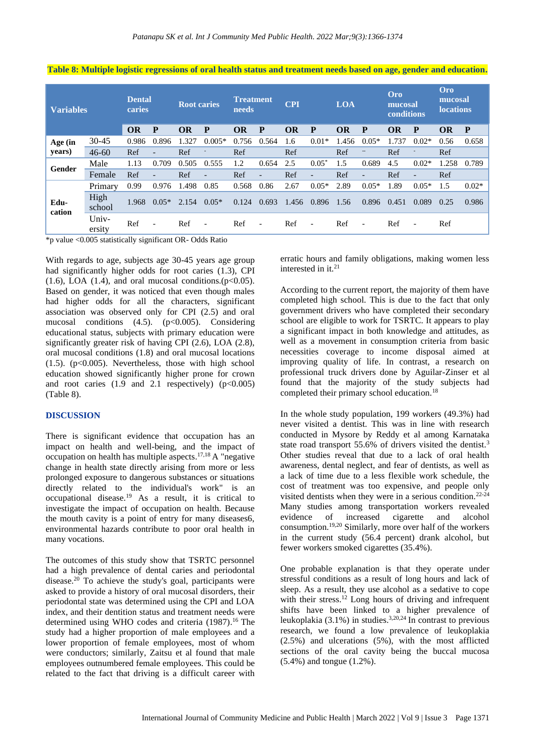| <b>Variables</b> |                 | <b>Dental</b><br>caries |                          | <b>Root caries</b> |                          | <b>Treatment</b><br>needs |                          | <b>CPI</b> |                          | <b>LOA</b> |                          | Oro<br>mucosal<br>conditions |                          | Oro<br>mucosal<br><b>locations</b> |         |
|------------------|-----------------|-------------------------|--------------------------|--------------------|--------------------------|---------------------------|--------------------------|------------|--------------------------|------------|--------------------------|------------------------------|--------------------------|------------------------------------|---------|
|                  |                 | OR                      | P                        | OR                 | P                        | <b>OR</b>                 | P                        | OR         | P                        | <b>OR</b>  | P                        | OR                           | P                        | <b>OR</b>                          | P       |
| Age (in          | $30 - 45$       | 0.986                   | 0.896                    | 1.327              | $0.005*$                 | 0.756                     | 0.564                    | 1.6        | $0.01*$                  | 1.456      | $0.05*$                  | 1.737                        | $0.02*$                  | 0.56                               | 0.658   |
| years)           | $46 - 60$       | Ref                     | $\overline{\phantom{a}}$ | Ref                |                          | Ref                       |                          | Ref        |                          | Ref        | $-\hbox{--}$             | Ref                          |                          | Ref                                |         |
| Gender           | Male            | 1.13                    | 0.709                    | 0.505              | 0.555                    | 1.2                       | 0.654                    | 2.5        | $0.05*$                  | 1.5        | 0.689                    | 4.5                          | $0.02*$                  | 1.258                              | 0.789   |
|                  | Female          | Ref                     | $\overline{\phantom{0}}$ | Ref                |                          | Ref                       | $\overline{\phantom{0}}$ | Ref        |                          | Ref        | $\overline{\phantom{0}}$ | Ref                          | $\overline{\phantom{a}}$ | Ref                                |         |
|                  | Primary         | 0.99                    | 0.976                    | 1.498              | 0.85                     | 0.568                     | 0.86                     | 2.67       | $0.05*$                  | 2.89       | $0.05*$                  | 1.89                         | $0.05*$                  | 1.5                                | $0.02*$ |
| Edu-<br>cation   | High<br>school  | 1.968                   | $0.05*$                  | 2.154              | $0.05*$                  | 0.124                     | 0.693                    | 1.456      | 0.896                    | 1.56       | 0.896                    | 0.451                        | 0.089                    | 0.25                               | 0.986   |
|                  | Univ-<br>ersity | Ref                     | $\overline{\phantom{a}}$ | Ref                | $\overline{\phantom{a}}$ | Ref                       | $\overline{\phantom{a}}$ | Ref        | $\overline{\phantom{a}}$ | Ref        | $\overline{\phantom{a}}$ | Ref                          | $\overline{\phantom{a}}$ | Ref                                |         |

#### **Table 8: Multiple logistic regressions of oral health status and treatment needs based on age, gender and education.**

\*p value <0.005 statistically significant OR- Odds Ratio

With regards to age, subjects age 30-45 years age group had significantly higher odds for root caries (1.3), CPI  $(1.6)$ , LOA  $(1.4)$ , and oral mucosal conditions. $(p<0.05)$ . Based on gender, it was noticed that even though males had higher odds for all the characters, significant association was observed only for CPI (2.5) and oral mucosal conditions  $(4.5)$ .  $(p<0.005)$ . Considering educational status, subjects with primary education were significantly greater risk of having CPI (2.6), LOA (2.8), oral mucosal conditions (1.8) and oral mucosal locations  $(1.5)$ . ( $p<0.005$ ). Nevertheless, those with high school education showed significantly higher prone for crown and root caries  $(1.9 \text{ and } 2.1 \text{ respectively})$   $(p<0.005)$ (Table 8).

#### **DISCUSSION**

There is significant evidence that occupation has an impact on health and well-being, and the impact of occupation on health has multiple aspects. 17,18 A "negative change in health state directly arising from more or less prolonged exposure to dangerous substances or situations directly related to the individual's work" is an occupational disease.<sup>19</sup> As a result, it is critical to investigate the impact of occupation on health. Because the mouth cavity is a point of entry for many diseases6, environmental hazards contribute to poor oral health in many vocations.

The outcomes of this study show that TSRTC personnel had a high prevalence of dental caries and periodontal disease. <sup>20</sup> To achieve the study's goal, participants were asked to provide a history of oral mucosal disorders, their periodontal state was determined using the CPI and LOA index, and their dentition status and treatment needs were determined using WHO codes and criteria (1987). <sup>16</sup> The study had a higher proportion of male employees and a lower proportion of female employees, most of whom were conductors; similarly, Zaitsu et al found that male employees outnumbered female employees. This could be related to the fact that driving is a difficult career with

erratic hours and family obligations, making women less interested in it.<sup>21</sup>

According to the current report, the majority of them have completed high school. This is due to the fact that only government drivers who have completed their secondary school are eligible to work for TSRTC. It appears to play a significant impact in both knowledge and attitudes, as well as a movement in consumption criteria from basic necessities coverage to income disposal aimed at improving quality of life. In contrast, a research on professional truck drivers done by Aguilar-Zinser et al found that the majority of the study subjects had completed their primary school education.<sup>18</sup>

In the whole study population, 199 workers (49.3%) had never visited a dentist. This was in line with research conducted in Mysore by Reddy et al among Karnataka state road transport 55.6% of drivers visited the dentist.<sup>3</sup> Other studies reveal that due to a lack of oral health awareness, dental neglect, and fear of dentists, as well as a lack of time due to a less flexible work schedule, the cost of treatment was too expensive, and people only visited dentists when they were in a serious condition.<sup>22-24</sup> Many studies among transportation workers revealed evidence of increased cigarette and alcohol consumption.19,20 Similarly, more over half of the workers in the current study (56.4 percent) drank alcohol, but fewer workers smoked cigarettes (35.4%).

One probable explanation is that they operate under stressful conditions as a result of long hours and lack of sleep. As a result, they use alcohol as a sedative to cope with their stress. <sup>12</sup> Long hours of driving and infrequent shifts have been linked to a higher prevalence of leukoplakia  $(3.1\%)$  in studies.<sup>3,20,24</sup> In contrast to previous research, we found a low prevalence of leukoplakia (2.5%) and ulcerations (5%), with the most afflicted sections of the oral cavity being the buccal mucosa (5.4%) and tongue (1.2%).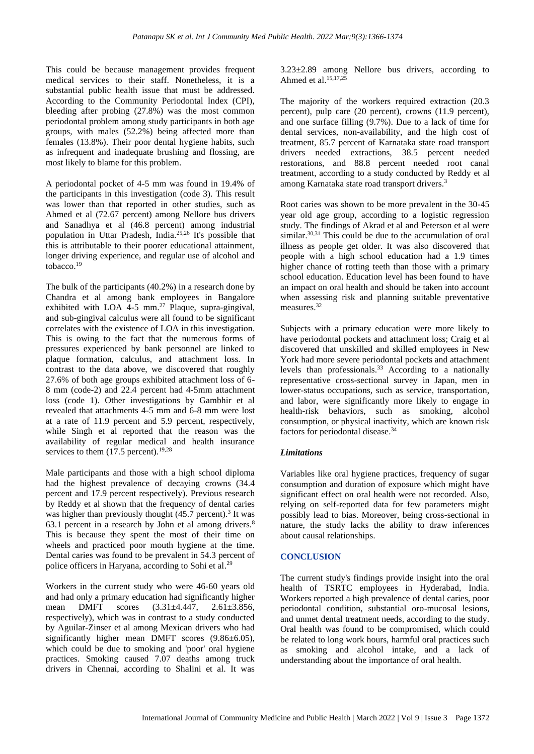This could be because management provides frequent medical services to their staff. Nonetheless, it is a substantial public health issue that must be addressed. According to the Community Periodontal Index (CPI), bleeding after probing (27.8%) was the most common periodontal problem among study participants in both age groups, with males (52.2%) being affected more than females (13.8%). Their poor dental hygiene habits, such as infrequent and inadequate brushing and flossing, are most likely to blame for this problem.

A periodontal pocket of 4-5 mm was found in 19.4% of the participants in this investigation (code 3). This result was lower than that reported in other studies, such as Ahmed et al (72.67 percent) among Nellore bus drivers and Sanadhya et al (46.8 percent) among industrial population in Uttar Pradesh, India.25,26 It's possible that this is attributable to their poorer educational attainment, longer driving experience, and regular use of alcohol and tobacco. 19

The bulk of the participants (40.2%) in a research done by Chandra et al among bank employees in Bangalore exhibited with LOA  $4-5$  mm.<sup>27</sup> Plaque, supra-gingival, and sub-gingival calculus were all found to be significant correlates with the existence of LOA in this investigation. This is owing to the fact that the numerous forms of pressures experienced by bank personnel are linked to plaque formation, calculus, and attachment loss. In contrast to the data above, we discovered that roughly 27.6% of both age groups exhibited attachment loss of 6- 8 mm (code-2) and 22.4 percent had 4-5mm attachment loss (code 1). Other investigations by Gambhir et al revealed that attachments 4-5 mm and 6-8 mm were lost at a rate of 11.9 percent and 5.9 percent, respectively, while Singh et al reported that the reason was the availability of regular medical and health insurance services to them  $(17.5 \text{ percent.}^{19,28})$ 

Male participants and those with a high school diploma had the highest prevalence of decaying crowns (34.4 percent and 17.9 percent respectively). Previous research by Reddy et al shown that the frequency of dental caries was higher than previously thought  $(45.7 \text{ percent})$ .<sup>3</sup> It was 63.1 percent in a research by John et al among drivers.<sup>8</sup> This is because they spent the most of their time on wheels and practiced poor mouth hygiene at the time. Dental caries was found to be prevalent in 54.3 percent of police officers in Haryana, according to Sohi et al.<sup>29</sup>

Workers in the current study who were 46-60 years old and had only a primary education had significantly higher mean DMFT scores  $(3.31 \pm 4.447, 2.61 \pm 3.856,$ respectively), which was in contrast to a study conducted by Aguilar-Zinser et al among Mexican drivers who had significantly higher mean DMFT scores  $(9.86\pm6.05)$ , which could be due to smoking and 'poor' oral hygiene practices. Smoking caused 7.07 deaths among truck drivers in Chennai, according to Shalini et al. It was

 $3.23\pm2.89$  among Nellore bus drivers, according to Ahmed et al. 15,17,25

The majority of the workers required extraction (20.3 percent), pulp care (20 percent), crowns (11.9 percent), and one surface filling (9.7%). Due to a lack of time for dental services, non-availability, and the high cost of treatment, 85.7 percent of Karnataka state road transport drivers needed extractions, 38.5 percent needed restorations, and 88.8 percent needed root canal treatment, according to a study conducted by Reddy et al among Karnataka state road transport drivers.<sup>3</sup>

Root caries was shown to be more prevalent in the 30-45 year old age group, according to a logistic regression study. The findings of Akrad et al and Peterson et al were similar.<sup>30,31</sup> This could be due to the accumulation of oral illness as people get older. It was also discovered that people with a high school education had a 1.9 times higher chance of rotting teeth than those with a primary school education. Education level has been found to have an impact on oral health and should be taken into account when assessing risk and planning suitable preventative measures. 32

Subjects with a primary education were more likely to have periodontal pockets and attachment loss; Craig et al discovered that unskilled and skilled employees in New York had more severe periodontal pockets and attachment levels than professionals.<sup>33</sup> According to a nationally representative cross-sectional survey in Japan, men in lower-status occupations, such as service, transportation, and labor, were significantly more likely to engage in health-risk behaviors, such as smoking, alcohol consumption, or physical inactivity, which are known risk factors for periodontal disease. 34

#### *Limitations*

Variables like oral hygiene practices, frequency of sugar consumption and duration of exposure which might have significant effect on oral health were not recorded. Also, relying on self-reported data for few parameters might possibly lead to bias. Moreover, being cross-sectional in nature, the study lacks the ability to draw inferences about causal relationships.

#### **CONCLUSION**

The current study's findings provide insight into the oral health of TSRTC employees in Hyderabad, India. Workers reported a high prevalence of dental caries, poor periodontal condition, substantial oro-mucosal lesions, and unmet dental treatment needs, according to the study. Oral health was found to be compromised, which could be related to long work hours, harmful oral practices such as smoking and alcohol intake, and a lack of understanding about the importance of oral health.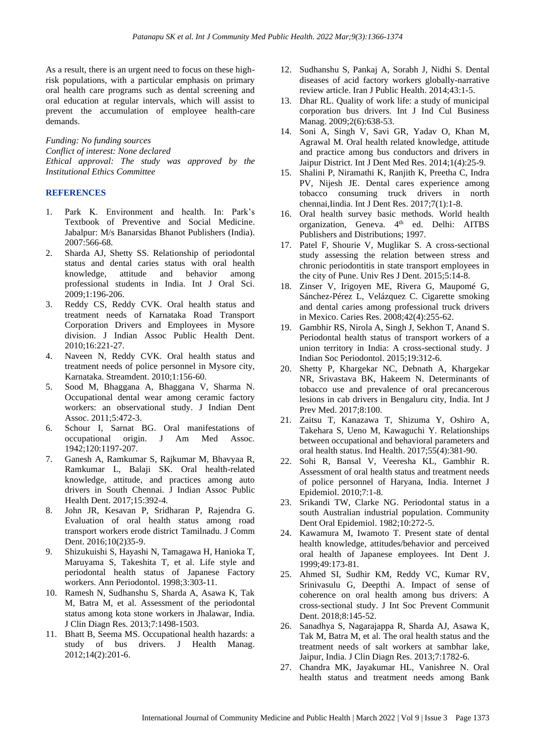As a result, there is an urgent need to focus on these highrisk populations, with a particular emphasis on primary oral health care programs such as dental screening and oral education at regular intervals, which will assist to prevent the accumulation of employee health-care demands.

*Funding: No funding sources Conflict of interest: None declared Ethical approval: The study was approved by the Institutional Ethics Committee*

#### **REFERENCES**

- 1. Park K. Environment and health. In: Park's Textbook of Preventive and Social Medicine. Jabalpur: M/s Banarsidas Bhanot Publishers (India). 2007:566-68.
- 2. Sharda AJ, Shetty SS. Relationship of periodontal status and dental caries status with oral health knowledge, attitude and behavior among professional students in India. Int J Oral Sci. 2009;1:196-206.
- 3. Reddy CS, Reddy CVK. Oral health status and treatment needs of Karnataka Road Transport Corporation Drivers and Employees in Mysore division. J Indian Assoc Public Health Dent. 2010;16:221-27.
- 4. Naveen N, Reddy CVK. Oral health status and treatment needs of police personnel in Mysore city, Karnataka. Streamdent. 2010;1:156-60.
- 5. Sood M, Bhaggana A, Bhaggana V, Sharma N. Occupational dental wear among ceramic factory workers: an observational study. J Indian Dent Assoc. 2011;5:472-3.
- 6. Schour I, Sarnat BG. Oral manifestations of occupational origin. J Am Med Assoc. 1942;120:1197-207.
- 7. Ganesh A, Ramkumar S, Rajkumar M, Bhavyaa R, Ramkumar L, Balaji SK. Oral health-related knowledge, attitude, and practices among auto drivers in South Chennai. J Indian Assoc Public Health Dent. 2017;15:392-4.
- 8. John JR, Kesavan P, Sridharan P, Rajendra G. Evaluation of oral health status among road transport workers erode district Tamilnadu. J Comm Dent. 2016;10(2)35-9.
- 9. Shizukuishi S, Hayashi N, Tamagawa H, Hanioka T, Maruyama S, Takeshita T, et al. Life style and periodontal health status of Japanese Factory workers. Ann Periodontol. 1998;3:303-11.
- 10. Ramesh N, Sudhanshu S, Sharda A, Asawa K, Tak M, Batra M, et al. Assessment of the periodontal status among kota stone workers in Jhalawar, India. J Clin Diagn Res. 2013;7:1498-1503.
- 11. Bhatt B, Seema MS. Occupational health hazards: a study of bus drivers. J Health Manag. 2012;14(2):201-6.
- 12. Sudhanshu S, Pankaj A, Sorabh J, Nidhi S. Dental diseases of acid factory workers globally-narrative review article. Iran J Public Health. 2014;43:1-5.
- 13. Dhar RL. Quality of work life: a study of municipal corporation bus drivers. Int J Ind Cul Business Manag. 2009;2(6):638-53.
- 14. Soni A, Singh V, Savi GR, Yadav O, Khan M, Agrawal M. Oral health related knowledge, attitude and practice among bus conductors and drivers in Jaipur District. Int J Dent Med Res. 2014;1(4):25-9.
- 15. Shalini P, Niramathi K, Ranjith K, Preetha C, Indra PV, Nijesh JE. Dental cares experience among tobacco consuming truck drivers in north chennai,Iindia. Int J Dent Res. 2017;7(1):1-8.
- 16. Oral health survey basic methods. World health organization, Geneva. 4<sup>th</sup> ed. Delhi: AITBS Publishers and Distributions; 1997.
- 17. Patel F, Shourie V, Muglikar S. A cross-sectional study assessing the relation between stress and chronic periodontitis in state transport employees in the city of Pune. Univ Res J Dent. 2015;5:14-8.
- 18. Zinser V, Irigoyen ME, Rivera G, Maupomé G, Sánchez-Pérez L, Velázquez C. Cigarette smoking and dental caries among professional truck drivers in Mexico. Caries Res. 2008;42(4):255-62.
- 19. Gambhir RS, Nirola A, Singh J, Sekhon T, Anand S. Periodontal health status of transport workers of a union territory in India: A cross-sectional study. J Indian Soc Periodontol. 2015;19:312-6.
- 20. Shetty P, Khargekar NC, Debnath A, Khargekar NR, Srivastava BK, Hakeem N. Determinants of tobacco use and prevalence of oral precancerous lesions in cab drivers in Bengaluru city, India. Int J Prev Med. 2017;8:100.
- 21. Zaitsu T, Kanazawa T, Shizuma Y, Oshiro A, Takehara S, Ueno M, Kawaguchi Y. Relationships between occupational and behavioral parameters and oral health status. Ind Health. 2017;55(4):381-90.
- 22. Sohi R, Bansal V, Veeresha KL, Gambhir R. Assessment of oral health status and treatment needs of police personnel of Haryana, India. Internet J Epidemiol. 2010;7:1-8.
- 23. Srikandi TW, Clarke NG. Periodontal status in a south Australian industrial population. Community Dent Oral Epidemiol. 1982;10:272-5.
- 24. Kawamura M, Iwamoto T. Present state of dental health knowledge, attitudes/behavior and perceived oral health of Japanese employees. Int Dent J. 1999;49:173-81.
- 25. Ahmed SI, Sudhir KM, Reddy VC, Kumar RV, Srinivasulu G, Deepthi A. Impact of sense of coherence on oral health among bus drivers: A cross-sectional study. J Int Soc Prevent Communit Dent. 2018;8:145-52.
- 26. Sanadhya S, Nagarajappa R, Sharda AJ, Asawa K, Tak M, Batra M, et al. The oral health status and the treatment needs of salt workers at sambhar lake, Jaipur, India. J Clin Diagn Res. 2013;7:1782-6.
- 27. Chandra MK, Jayakumar HL, Vanishree N. Oral health status and treatment needs among Bank